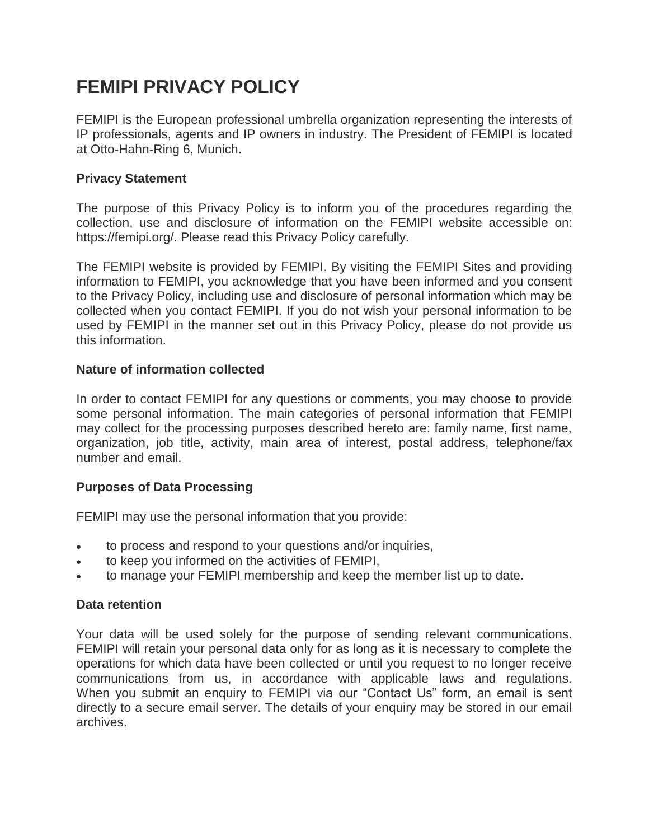# **FEMIPI PRIVACY POLICY**

FEMIPI is the European professional umbrella organization representing the interests of IP professionals, agents and IP owners in industry. The President of FEMIPI is located at Otto-Hahn-Ring 6, Munich.

# **Privacy Statement**

The purpose of this Privacy Policy is to inform you of the procedures regarding the collection, use and disclosure of information on the FEMIPI website accessible on: https://femipi.org/. Please read this Privacy Policy carefully.

The FEMIPI website is provided by FEMIPI. By visiting the FEMIPI Sites and providing information to FEMIPI, you acknowledge that you have been informed and you consent to the Privacy Policy, including use and disclosure of personal information which may be collected when you contact FEMIPI. If you do not wish your personal information to be used by FEMIPI in the manner set out in this Privacy Policy, please do not provide us this information.

# **Nature of information collected**

In order to contact FEMIPI for any questions or comments, you may choose to provide some personal information. The main categories of personal information that FEMIPI may collect for the processing purposes described hereto are: family name, first name, organization, job title, activity, main area of interest, postal address, telephone/fax number and email.

# **Purposes of Data Processing**

FEMIPI may use the personal information that you provide:

- to process and respond to your questions and/or inquiries,
- to keep you informed on the activities of FEMIPI,
- to manage your FEMIPI membership and keep the member list up to date.

# **Data retention**

Your data will be used solely for the purpose of sending relevant communications. FEMIPI will retain your personal data only for as long as it is necessary to complete the operations for which data have been collected or until you request to no longer receive communications from us, in accordance with applicable laws and regulations. When you submit an enquiry to FEMIPI via our "Contact Us" form, an email is sent directly to a secure email server. The details of your enquiry may be stored in our email archives.